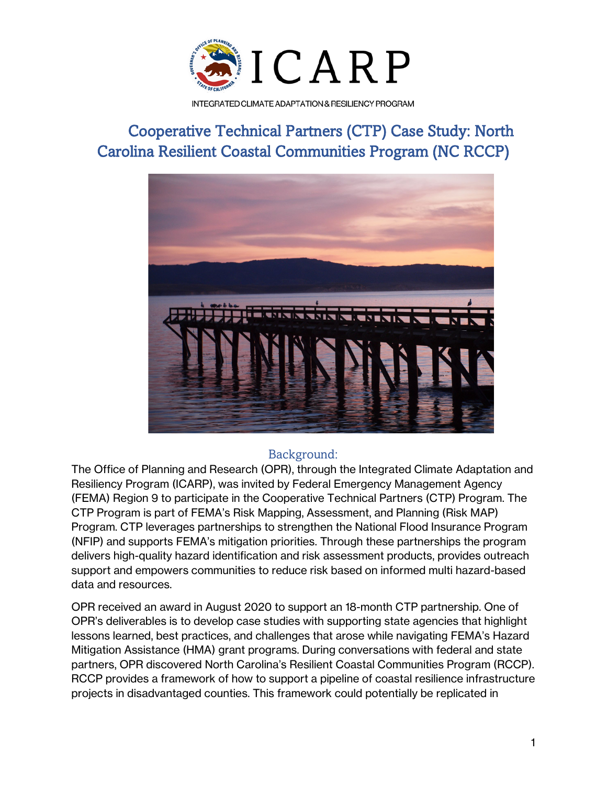

INTEGRATED CLIMATE ADAPTATION & RESILIENCY PROGRAM

# Cooperative Technical Partners (CTP) Case Study: North Carolina Resilient Coastal Communities Program (NC RCCP)



# Background:

The Office of Planning and Research (OPR), through the Integrated Climate Adaptation and Resiliency Program (ICARP), was invited by Federal Emergency Management Agency (FEMA) Region 9 to participate in the Cooperative Technical Partners (CTP) Program. The CTP Program is part of FEMA's Risk Mapping, Assessment, and Planning (Risk MAP) Program. CTP leverages partnerships to strengthen the National Flood Insurance Program (NFIP) and supports FEMA's mitigation priorities. Through these partnerships the program delivers high-quality hazard identification and risk assessment products, provides outreach support and empowers communities to reduce risk based on informed multi hazard-based data and resources.

OPR received an award in August 2020 to support an 18-month CTP partnership. One of OPR's deliverables is to develop case studies with supporting state agencies that highlight lessons learned, best practices, and challenges that arose while navigating FEMA's Hazard Mitigation Assistance (HMA) grant programs. During conversations with federal and state partners, OPR discovered North Carolina's Resilient Coastal Communities Program (RCCP). RCCP provides a framework of how to support a pipeline of coastal resilience infrastructure projects in disadvantaged counties. This framework could potentially be replicated in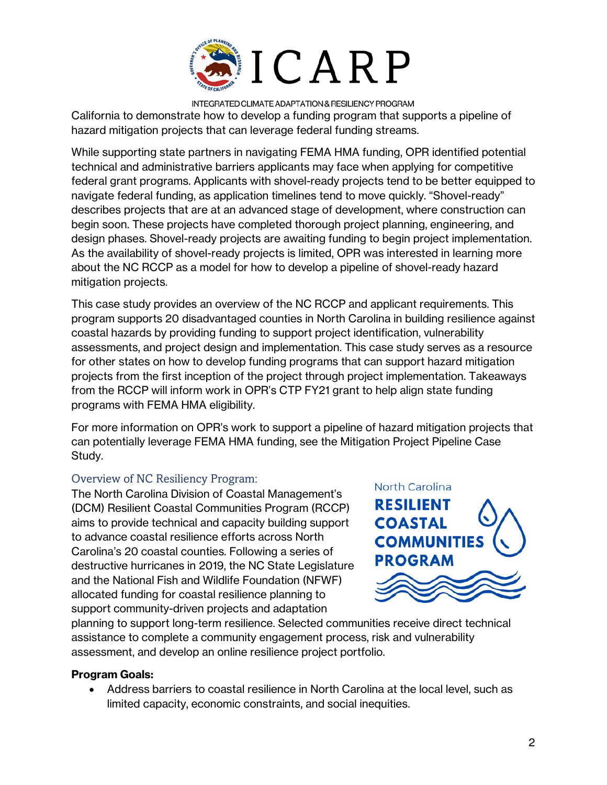

INTEGRATED CLIMATE ADAPTATION & RESILIENCY PROGRAM California to demonstrate how to develop a funding program that supports a pipeline of hazard mitigation projects that can leverage federal funding streams.

While supporting state partners in navigating FEMA HMA funding, OPR identified potential technical and administrative barriers applicants may face when applying for competitive federal grant programs. Applicants with shovel-ready projects tend to be better equipped to navigate federal funding, as application timelines tend to move quickly. "Shovel-ready" describes projects that are at an advanced stage of development, where construction can begin soon. These projects have completed thorough project planning, engineering, and design phases. Shovel-ready projects are awaiting funding to begin project implementation. As the availability of shovel-ready projects is limited, OPR was interested in learning more about the NC RCCP as a model for how to develop a pipeline of shovel-ready hazard mitigation projects.

This case study provides an overview of the NC RCCP and applicant requirements. This program supports 20 disadvantaged counties in North Carolina in building resilience against coastal hazards by providing funding to support project identification, vulnerability assessments, and project design and implementation. This case study serves as a resource for other states on how to develop funding programs that can support hazard mitigation projects from the first inception of the project through project implementation. Takeaways from the RCCP will inform work in OPR's CTP FY21 grant to help align state funding programs with FEMA HMA eligibility.

For more information on OPR's work to support a pipeline of hazard mitigation projects that can potentially leverage FEMA HMA funding, see the Mitigation Project Pipeline Case Study.

### Overview of NC Resiliency Program:

The North Carolina Division of Coastal Management's (DCM) Resilient Coastal Communities Program (RCCP) aims to provide technical and capacity building support to advance coastal resilience efforts across North Carolina's 20 coastal counties. Following a series of destructive hurricanes in 2019, the NC State Legislature and the National Fish and Wildlife Foundation (NFWF) allocated funding for coastal resilience planning to support community-driven projects and adaptation



planning to support long-term resilience. Selected communities receive direct technical assistance to complete a community engagement process, risk and vulnerability assessment, and develop an online resilience project portfolio.

#### **Program Goals:**

• Address barriers to coastal resilience in North Carolina at the local level, such as limited capacity, economic constraints, and social inequities.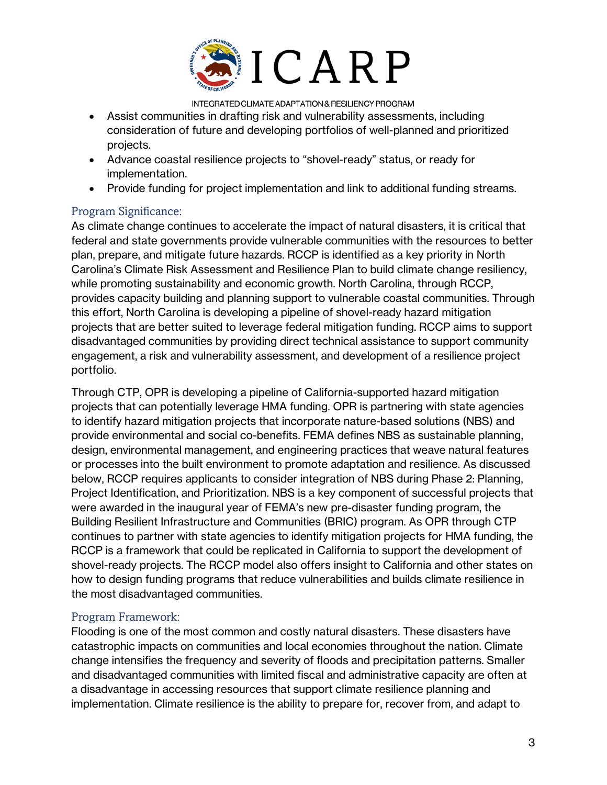

INTEGRATED CLIMATE ADAPTATION & RESILIENCY PROGRAM

- Assist communities in drafting risk and vulnerability assessments, including consideration of future and developing portfolios of well-planned and prioritized projects.
- Advance coastal resilience projects to "shovel-ready" status, or ready for implementation.
- Provide funding for project implementation and link to additional funding streams.

## Program Significance:

As climate change continues to accelerate the impact of natural disasters, it is critical that federal and state governments provide vulnerable communities with the resources to better plan, prepare, and mitigate future hazards. RCCP is identified as a key priority in North Carolina's Climate Risk Assessment and Resilience Plan to build climate change resiliency, while promoting sustainability and economic growth. North Carolina, through RCCP, provides capacity building and planning support to vulnerable coastal communities. Through this effort, North Carolina is developing a pipeline of shovel-ready hazard mitigation projects that are better suited to leverage federal mitigation funding. RCCP aims to support disadvantaged communities by providing direct technical assistance to support community engagement, a risk and vulnerability assessment, and development of a resilience project portfolio.

Through CTP, OPR is developing a pipeline of California-supported hazard mitigation projects that can potentially leverage HMA funding. OPR is partnering with state agencies to identify hazard mitigation projects that incorporate nature-based solutions (NBS) and provide environmental and social co-benefits. FEMA defines NBS as sustainable planning, design, environmental management, and engineering practices that weave natural features or processes into the built environment to promote adaptation and resilience. As discussed below, RCCP requires applicants to consider integration of NBS during Phase 2: Planning, Project Identification, and Prioritization. NBS is a key component of successful projects that were awarded in the inaugural year of FEMA's new pre-disaster funding program, the Building Resilient Infrastructure and Communities (BRIC) program. As OPR through CTP continues to partner with state agencies to identify mitigation projects for HMA funding, the RCCP is a framework that could be replicated in California to support the development of shovel-ready projects. The RCCP model also offers insight to California and other states on how to design funding programs that reduce vulnerabilities and builds climate resilience in the most disadvantaged communities.

## Program Framework:

Flooding is one of the most common and costly natural disasters. These disasters have catastrophic impacts on communities and local economies throughout the nation. Climate change intensifies the frequency and severity of floods and precipitation patterns. Smaller and disadvantaged communities with limited fiscal and administrative capacity are often at a disadvantage in accessing resources that support climate resilience planning and implementation. Climate resilience is the ability to prepare for, recover from, and adapt to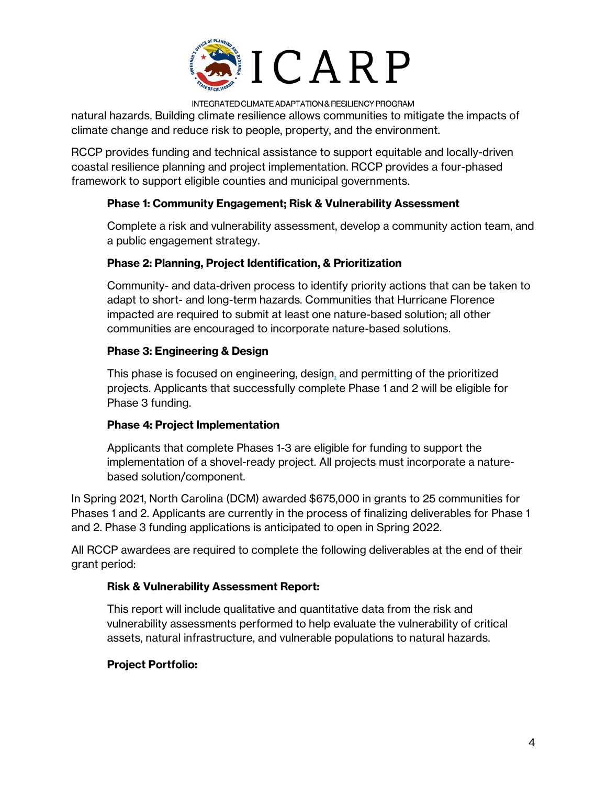

INTEGRATED CLIMATE ADAPTATION & RESILIENCY PROGRAM

natural hazards. Building climate resilience allows communities to mitigate the impacts of climate change and reduce risk to people, property, and the environment.

RCCP provides funding and technical assistance to support equitable and locally-driven coastal resilience planning and project implementation. RCCP provides a four-phased framework to support eligible counties and municipal governments.

## **Phase 1: Community Engagement; Risk & Vulnerability Assessment**

Complete a risk and vulnerability assessment, develop a community action team, and a public engagement strategy.

## **Phase 2: Planning, Project Identification, & Prioritization**

Community- and data-driven process to identify priority actions that can be taken to adapt to short- and long-term hazards. Communities that Hurricane Florence impacted are required to submit at least one nature-based solution; all other communities are encouraged to incorporate nature-based solutions.

## **Phase 3: Engineering & Design**

This phase is focused on engineering, design, and permitting of the prioritized projects. Applicants that successfully complete Phase 1 and 2 will be eligible for Phase 3 funding.

### **Phase 4: Project Implementation**

Applicants that complete Phases 1-3 are eligible for funding to support the implementation of a shovel-ready project. All projects must incorporate a naturebased solution/component.

In Spring 2021, North Carolina (DCM) awarded \$675,000 in grants to 25 communities for Phases 1 and 2. Applicants are currently in the process of finalizing deliverables for Phase 1 and 2. Phase 3 funding applications is anticipated to open in Spring 2022.

All RCCP awardees are required to complete the following deliverables at the end of their grant period:

### **Risk & Vulnerability Assessment Report:**

This report will include qualitative and quantitative data from the risk and vulnerability assessments performed to help evaluate the vulnerability of critical assets, natural infrastructure, and vulnerable populations to natural hazards.

## **Project Portfolio:**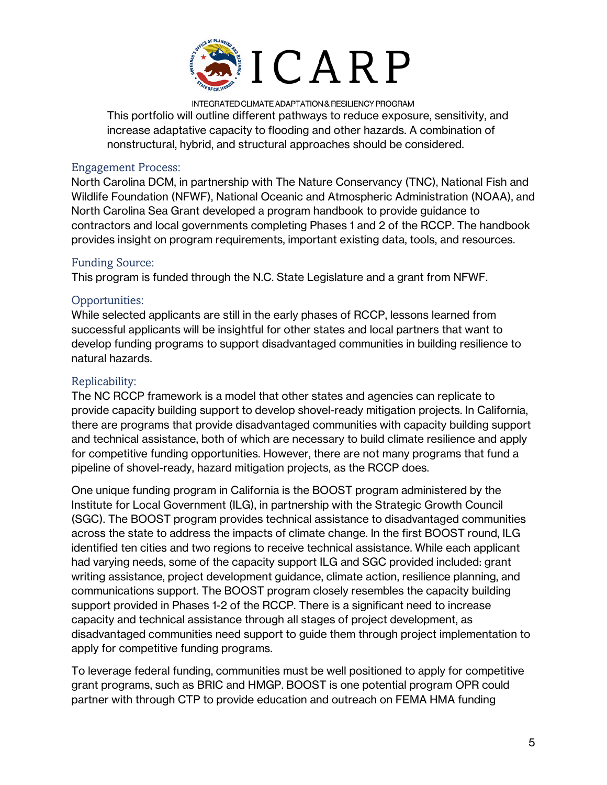

INTEGRATED CLIMATE ADAPTATION & RESILIENCY PROGRAM This portfolio will outline different pathways to reduce exposure, sensitivity, and increase adaptative capacity to flooding and other hazards. A combination of nonstructural, hybrid, and structural approaches should be considered.

#### Engagement Process:

North Carolina DCM, in partnership with The Nature Conservancy (TNC), National Fish and Wildlife Foundation (NFWF), National Oceanic and Atmospheric Administration (NOAA), and North Carolina Sea Grant developed a program handbook to provide guidance to contractors and local governments completing Phases 1 and 2 of the RCCP. The handbook provides insight on program requirements, important existing data, tools, and resources.

### Funding Source:

This program is funded through the N.C. State Legislature and a grant from NFWF.

## Opportunities:

While selected applicants are still in the early phases of RCCP, lessons learned from successful applicants will be insightful for other states and local partners that want to develop funding programs to support disadvantaged communities in building resilience to natural hazards.

## Replicability:

The NC RCCP framework is a model that other states and agencies can replicate to provide capacity building support to develop shovel-ready mitigation projects. In California, there are programs that provide disadvantaged communities with capacity building support and technical assistance, both of which are necessary to build climate resilience and apply for competitive funding opportunities. However, there are not many programs that fund a pipeline of shovel-ready, hazard mitigation projects, as the RCCP does.

One unique funding program in California is the BOOST program administered by the Institute for Local Government (ILG), in partnership with the Strategic Growth Council (SGC). The BOOST program provides technical assistance to disadvantaged communities across the state to address the impacts of climate change. In the first BOOST round, ILG identified ten cities and two regions to receive technical assistance. While each applicant had varying needs, some of the capacity support ILG and SGC provided included: grant writing assistance, project development guidance, climate action, resilience planning, and communications support. The BOOST program closely resembles the capacity building support provided in Phases 1-2 of the RCCP. There is a significant need to increase capacity and technical assistance through all stages of project development, as disadvantaged communities need support to guide them through project implementation to apply for competitive funding programs.

To leverage federal funding, communities must be well positioned to apply for competitive grant programs, such as BRIC and HMGP. BOOST is one potential program OPR could partner with through CTP to provide education and outreach on FEMA HMA funding